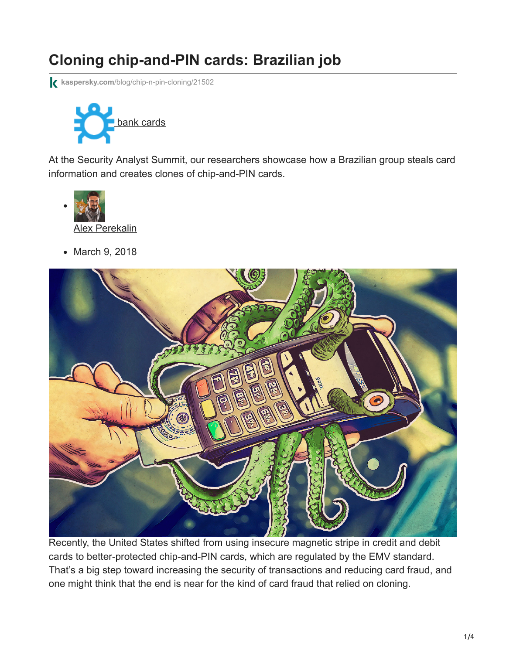# **Cloning chip-and-PIN cards: Brazilian job**

**kaspersky.com**[/blog/chip-n-pin-cloning/21502](https://www.kaspersky.com/blog/chip-n-pin-cloning/21502)



At the Security Analyst Summit, our researchers showcase how a Brazilian group steals card information and creates clones of chip-and-PIN cards.



• March 9, 2018



Recently, the United States shifted from using insecure magnetic stripe in credit and debit cards to better-protected chip-and-PIN cards, which are regulated by the EMV standard. That's a big step toward increasing the security of transactions and reducing card fraud, and one might think that the end is near for the kind of card fraud that relied on cloning.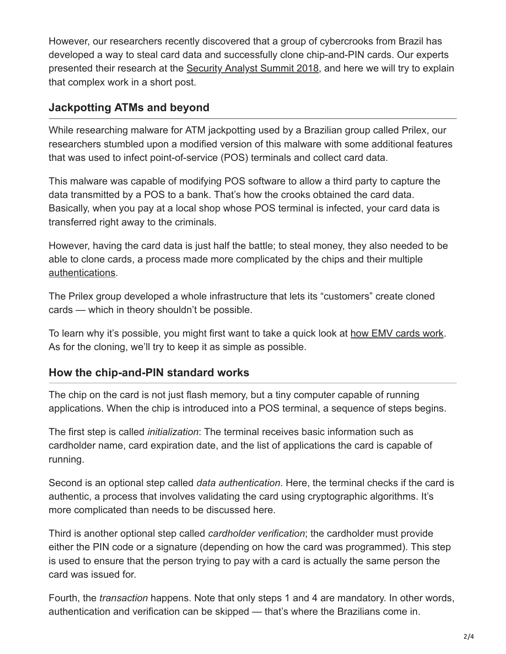However, our researchers recently discovered that a group of cybercrooks from Brazil has developed a way to steal card data and successfully clone chip-and-PIN cards. Our experts presented their research at the [Security Analyst Summit 2018,](https://www.kaspersky.com/blog/tag/the-sas-2018/) and here we will try to explain that complex work in a short post.

## **Jackpotting ATMs and beyond**

While researching malware for ATM jackpotting used by a Brazilian group called Prilex, our researchers stumbled upon a modified version of this malware with some additional features that was used to infect point-of-service (POS) terminals and collect card data.

This malware was capable of modifying POS software to allow a third party to capture the data transmitted by a POS to a bank. That's how the crooks obtained the card data. Basically, when you pay at a local shop whose POS terminal is infected, your card data is transferred right away to the criminals.

However, having the card data is just half the battle; to steal money, they also needed to be able to clone cards, a process made more complicated by the chips and their multiple [authentications.](https://encyclopedia.kaspersky.com/glossary/authentication/?utm_source=kdaily&utm_medium=blog&utm_campaign=termin-explanation)

The Prilex group developed a whole infrastructure that lets its "customers" create cloned cards — which in theory shouldn't be possible.

To learn why it's possible, you might first want to take a quick look at [how EMV cards work.](http://www.cs.ru.nl/~erikpoll/papers/EMVtechreport.pdf) As for the cloning, we'll try to keep it as simple as possible.

### **How the chip-and-PIN standard works**

The chip on the card is not just flash memory, but a tiny computer capable of running applications. When the chip is introduced into a POS terminal, a sequence of steps begins.

The first step is called *initialization*: The terminal receives basic information such as cardholder name, card expiration date, and the list of applications the card is capable of running.

Second is an optional step called *data authentication*. Here, the terminal checks if the card is authentic, a process that involves validating the card using cryptographic algorithms. It's more complicated than needs to be discussed here.

Third is another optional step called *cardholder verification*; the cardholder must provide either the PIN code or a signature (depending on how the card was programmed). This step is used to ensure that the person trying to pay with a card is actually the same person the card was issued for.

Fourth, the *transaction* happens. Note that only steps 1 and 4 are mandatory. In other words, authentication and verification can be skipped — that's where the Brazilians come in.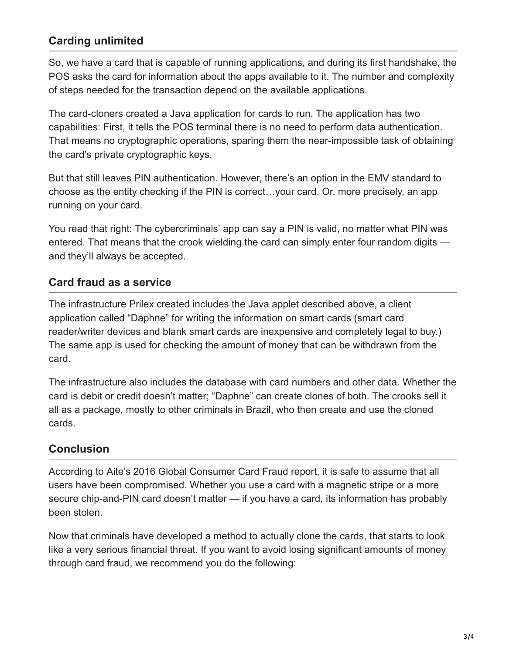## **Carding unlimited**

So, we have a card that is capable of running applications, and during its first handshake, the POS asks the card for information about the apps available to it. The number and complexity of steps needed for the transaction depend on the available applications.

The card-cloners created a Java application for cards to run. The application has two capabilities: First, it tells the POS terminal there is no need to perform data authentication. That means no cryptographic operations, sparing them the near-impossible task of obtaining the card's private cryptographic keys.

But that still leaves PIN authentication. However, there's an option in the EMV standard to choose as the entity checking if the PIN is correct…your card. Or, more precisely, an app running on your card.

You read that right: The cybercriminals' app can say a PIN is valid, no matter what PIN was entered. That means that the crook wielding the card can simply enter four random digits and they'll always be accepted.

#### **Card fraud as a service**

The infrastructure Prilex created includes the Java applet described above, a client application called "Daphne" for writing the information on smart cards (smart card reader/writer devices and blank smart cards are inexpensive and completely legal to buy.) The same app is used for checking the amount of money that can be withdrawn from the card.

The infrastructure also includes the database with card numbers and other data. Whether the card is debit or credit doesn't matter; "Daphne" can create clones of both. The crooks sell it all as a package, mostly to other criminals in Brazil, who then create and use the cloned cards.

## **Conclusion**

According to [Aite's 2016 Global Consumer Card Fraud report](https://www.aciworldwide.com/-/media/files/collateral/trends/2016-global-consumer-card-fraud-where-card-fraud-is-coming-from.pdf), it is safe to assume that all users have been compromised. Whether you use a card with a magnetic stripe or a more secure chip-and-PIN card doesn't matter — if you have a card, its information has probably been stolen.

Now that criminals have developed a method to actually clone the cards, that starts to look like a very serious financial threat. If you want to avoid losing significant amounts of money through card fraud, we recommend you do the following: